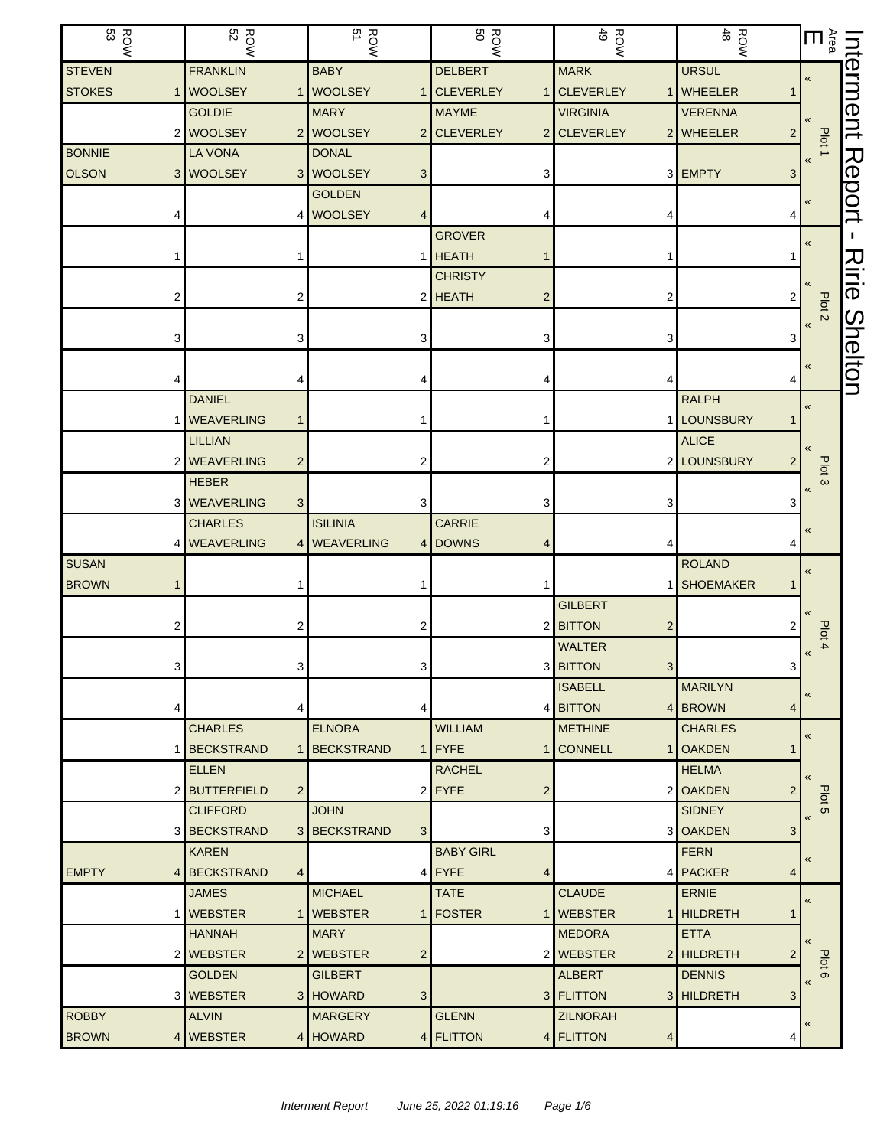| ROW<br>53     |   | <b>ROW</b><br>52  |                | <b>ROW</b><br>51 |                | <b>ROW</b>       |   | ROW<br>49        | $\frac{ROW}{48}$            | $\sum_{\tilde{a}}$            | $\overline{u}$ |
|---------------|---|-------------------|----------------|------------------|----------------|------------------|---|------------------|-----------------------------|-------------------------------|----------------|
| <b>STEVEN</b> |   | <b>FRANKLIN</b>   |                | <b>BABY</b>      |                | <b>DELBERT</b>   |   | <b>MARK</b>      | <b>URSUL</b>                | $\pmb{\ll}$                   | erment         |
| <b>STOKES</b> |   | <b>WOOLSEY</b>    |                | 1 WOOLSEY        |                | 1 CLEVERLEY      |   | <b>CLEVERLEY</b> | 1 WHEELER                   |                               |                |
|               |   | <b>GOLDIE</b>     |                | <b>MARY</b>      |                | <b>MAYME</b>     |   | <b>VIRGINIA</b>  | <b>VERENNA</b>              |                               |                |
|               | 2 | <b>WOOLSEY</b>    |                | 2 WOOLSEY        |                | 2 CLEVERLEY      |   | 2 CLEVERLEY      | 2 WHEELER<br>$\overline{2}$ | Plot 1                        |                |
| <b>BONNIE</b> |   | LA VONA           |                | <b>DONAL</b>     |                |                  |   |                  |                             |                               |                |
| <b>OLSON</b>  |   | 3 WOOLSEY         |                | 3 WOOLSEY        | 3              |                  |   |                  | 3 EMPTY<br>3                |                               |                |
|               |   |                   |                | <b>GOLDEN</b>    |                |                  |   |                  |                             | $\pmb{\ll}$                   | <b>Report</b>  |
|               |   |                   |                | 4 WOOLSEY        | 4              |                  |   | 4                |                             |                               |                |
|               |   |                   |                |                  |                | <b>GROVER</b>    |   |                  |                             | «                             |                |
|               |   |                   |                |                  |                | 1 HEATH          |   | 1                |                             |                               |                |
|               |   |                   |                |                  |                | <b>CHRISTY</b>   |   |                  |                             |                               | スミ             |
|               |   |                   | 2              |                  |                | 2 HEATH          | 2 | 2                | 2                           | Plot <sub>2</sub>             | ወ              |
|               |   |                   |                |                  |                |                  |   |                  |                             | $\pmb{\langle} \pmb{\langle}$ |                |
|               | З |                   | 3              |                  | 3              |                  |   | 3                | 3                           |                               | Shelton        |
|               |   |                   |                |                  |                |                  |   |                  |                             | «                             |                |
|               |   |                   |                |                  |                |                  |   | 4                |                             |                               |                |
|               |   | <b>DANIEL</b>     |                |                  |                |                  |   |                  | <b>RALPH</b>                | $\pmb{\ll}$                   |                |
|               |   | <b>WEAVERLING</b> | 1              |                  |                |                  |   |                  | 1 LOUNSBURY                 |                               |                |
|               |   | <b>LILLIAN</b>    |                |                  |                |                  |   |                  | <b>ALICE</b>                |                               |                |
|               |   | <b>WEAVERLING</b> | $\overline{c}$ |                  | 2              |                  |   |                  | 2 LOUNSBURY                 | Plot <sub>3</sub>             |                |
|               |   | <b>HEBER</b>      |                |                  |                |                  |   |                  |                             | $\pmb{\langle} \pmb{\langle}$ |                |
|               | 3 | <b>WEAVERLING</b> | $\mathbf{3}$   |                  | 3              |                  |   | 3                |                             |                               |                |
|               |   | <b>CHARLES</b>    |                | <b>ISILINIA</b>  |                | <b>CARRIE</b>    |   |                  |                             | «                             |                |
|               | 4 | <b>WEAVERLING</b> |                | 4 WEAVERLING     |                | 4 DOWNS          |   | 4                |                             |                               |                |
| <b>SUSAN</b>  |   |                   |                |                  |                |                  |   |                  | <b>ROLAND</b>               | $\pmb{\langle} \pmb{\langle}$ |                |
| <b>BROWN</b>  |   |                   |                |                  |                |                  |   |                  | 1 SHOEMAKER                 |                               |                |
|               |   |                   |                |                  |                |                  |   | <b>GILBERT</b>   |                             |                               |                |
|               |   |                   | 2              |                  | 2              |                  |   | 2 BITTON<br>2    |                             | Plot 4                        |                |
|               |   |                   |                |                  |                |                  |   | <b>WALTER</b>    |                             | $\pmb{\langle} \pmb{\langle}$ |                |
|               | З |                   | 3              |                  | 3              |                  |   | 3 BITTON<br>3    | 3                           |                               |                |
|               |   |                   |                |                  |                |                  |   | <b>ISABELL</b>   | <b>MARILYN</b>              | «                             |                |
|               |   |                   | 4              |                  |                |                  |   | 4 BITTON         | 4 BROWN<br>4                |                               |                |
|               |   | <b>CHARLES</b>    |                | <b>ELNORA</b>    |                | <b>WILLIAM</b>   |   | <b>METHINE</b>   | <b>CHARLES</b>              | $\pmb{\langle} \pmb{\langle}$ |                |
|               |   | <b>BECKSTRAND</b> |                | 1 BECKSTRAND     |                | $1$ FYFE         |   | 1 CONNELL        | 1 OAKDEN                    |                               |                |
|               |   | <b>ELLEN</b>      |                |                  |                | <b>RACHEL</b>    |   |                  | <b>HELMA</b>                | $\langle \langle$             |                |
|               |   | 2 BUTTERFIELD     | $\overline{2}$ |                  |                | $2$ FYFE         | 2 |                  | 2 OAKDEN<br>2               | Plot <sub>5</sub>             |                |
|               |   | <b>CLIFFORD</b>   |                | <b>JOHN</b>      |                |                  |   |                  | <b>SIDNEY</b>               | $\pmb{\langle} \pmb{\langle}$ |                |
|               | 3 | <b>BECKSTRAND</b> |                | 3 BECKSTRAND     | 3 <sup>1</sup> |                  | 3 |                  | 3 OAKDEN<br>3               |                               |                |
|               |   | <b>KAREN</b>      |                |                  |                | <b>BABY GIRL</b> |   |                  | <b>FERN</b>                 | «                             |                |
| <b>EMPTY</b>  | 4 | <b>BECKSTRAND</b> | $\overline{4}$ |                  |                | $4$ FYFE         | 4 |                  | 4 PACKER<br>4               |                               |                |
|               |   | <b>JAMES</b>      |                | <b>MICHAEL</b>   |                | <b>TATE</b>      |   | <b>CLAUDE</b>    | <b>ERNIE</b>                | $\pmb{\langle} \pmb{\langle}$ |                |
|               |   | <b>WEBSTER</b>    |                | 1   WEBSTER      |                | 1   FOSTER       |   | 1   WEBSTER      | 1 HILDRETH                  |                               |                |
|               |   | <b>HANNAH</b>     |                | <b>MARY</b>      |                |                  |   | <b>MEDORA</b>    | <b>ETTA</b>                 | $\langle$                     |                |
|               |   | 2 WEBSTER         |                | 2 WEBSTER        | $\overline{c}$ |                  |   | 2 WEBSTER        | 2 HILDRETH                  | Plot 6                        |                |
|               |   | <b>GOLDEN</b>     |                | <b>GILBERT</b>   |                |                  |   | <b>ALBERT</b>    | <b>DENNIS</b>               | $\pmb{\langle} \pmb{\langle}$ |                |
|               | 3 | <b>WEBSTER</b>    |                | 3 HOWARD         | 3              |                  |   | 3 FLITTON        | 3 HILDRETH<br>3             |                               |                |
| <b>ROBBY</b>  |   | <b>ALVIN</b>      |                | <b>MARGERY</b>   |                | <b>GLENN</b>     |   | <b>ZILNORAH</b>  |                             | «                             |                |
| <b>BROWN</b>  | 4 | <b>WEBSTER</b>    |                | 4 HOWARD         |                | 4 FLITTON        |   | 4 FLITTON<br>4   | 4                           |                               |                |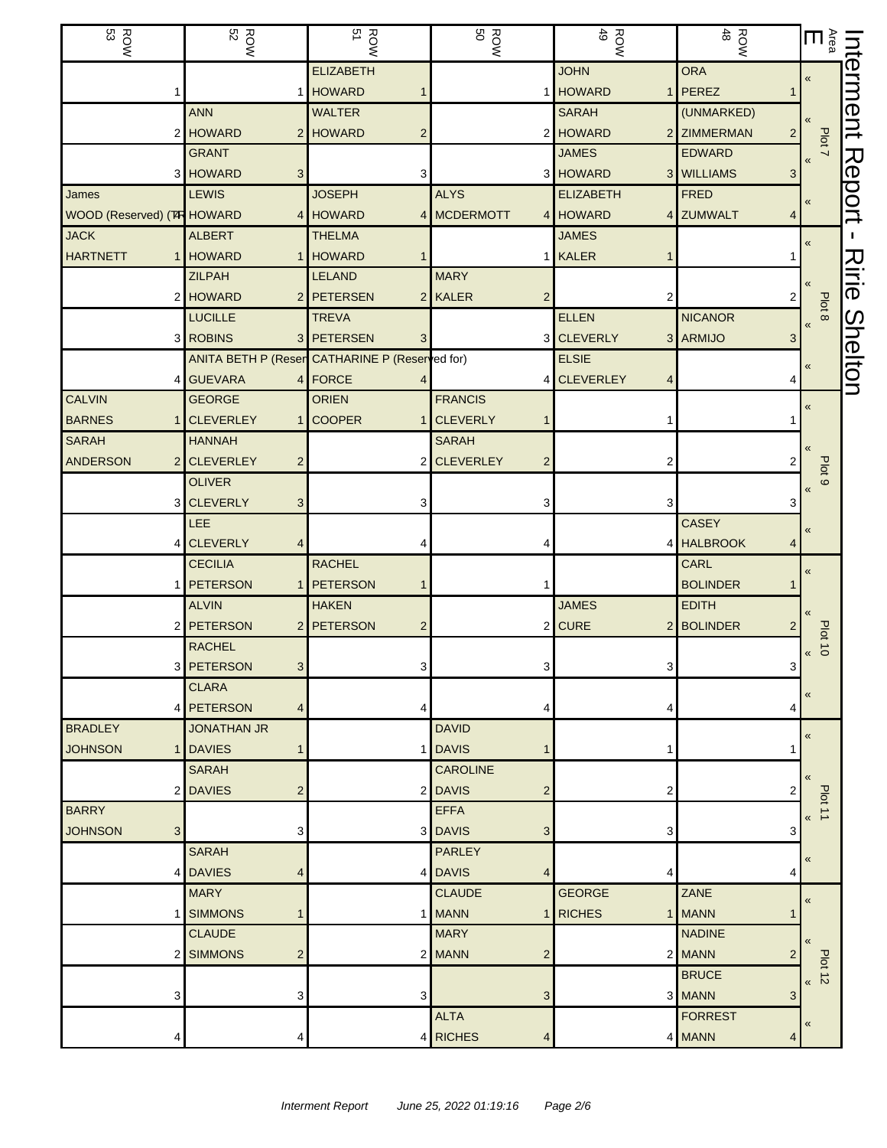| ςg<br><b>ROW</b>           | <b>ROW</b><br>52                                  | <b>ROW</b><br>51                               | <b>ROW</b><br>BOW        | ROW<br>49                     | $\frac{ROW}{48}$              | $\sum_{\tilde{a}}$            | πή            |
|----------------------------|---------------------------------------------------|------------------------------------------------|--------------------------|-------------------------------|-------------------------------|-------------------------------|---------------|
|                            |                                                   | <b>ELIZABETH</b>                               |                          | <b>JOHN</b>                   | <b>ORA</b>                    | «                             | erment        |
|                            |                                                   | 1 HOWARD                                       |                          | <b>HOWARD</b>                 | 1 PEREZ                       |                               |               |
|                            | <b>ANN</b>                                        | <b>WALTER</b>                                  |                          | <b>SARAH</b>                  | (UNMARKED)                    |                               |               |
|                            | 2 HOWARD                                          | 2 HOWARD<br>2                                  | 2                        | <b>HOWARD</b>                 | 2 ZIMMERMAN<br>$\overline{2}$ | Plot 7                        |               |
|                            | <b>GRANT</b>                                      |                                                |                          | <b>JAMES</b>                  | <b>EDWARD</b>                 |                               |               |
|                            | 3 HOWARD<br>3 <sup>1</sup>                        | 3                                              |                          | 3 HOWARD                      | 3 WILLIAMS<br>3               |                               | <b>Report</b> |
| James                      | <b>LEWIS</b>                                      | <b>JOSEPH</b>                                  | <b>ALYS</b>              | <b>ELIZABETH</b>              | <b>FRED</b>                   | $\pmb{\kappa}$                |               |
| WOOD (Reserved) (TR HOWARD |                                                   | 4 HOWARD                                       | 4 MCDERMOTT              | 4 HOWARD                      | 4 ZUMWALT<br>4                |                               |               |
| <b>JACK</b>                | <b>ALBERT</b>                                     | <b>THELMA</b>                                  |                          | <b>JAMES</b>                  |                               | «                             |               |
| <b>HARTNETT</b>            | 1 HOWARD                                          | 1 HOWARD                                       |                          | <b>KALER</b>                  |                               |                               | スミニ           |
|                            | <b>ZILPAH</b>                                     | <b>LELAND</b>                                  | <b>MARY</b>              |                               |                               |                               |               |
|                            | 2 HOWARD                                          | 2 PETERSEN<br>2 <sub>1</sub>                   | <b>KALER</b>             | 2                             |                               | Plot 8                        | ወ             |
|                            | <b>LUCILLE</b>                                    | <b>TREVA</b>                                   |                          | <b>ELLEN</b>                  | <b>NICANOR</b>                | $\ll$                         |               |
|                            | 3 ROBINS                                          | 3 PETERSEN<br>3                                |                          | 3 CLEVERLY                    | 3 ARMIJO<br>3                 |                               | Shelton       |
|                            |                                                   | ANITA BETH P (Reser CATHARINE P (Reserred for) |                          | <b>ELSIE</b>                  |                               |                               |               |
| 4                          | <b>GUEVARA</b>                                    | 4 FORCE                                        |                          | <b>CLEVERLEY</b>              |                               |                               |               |
| <b>CALVIN</b>              | <b>GEORGE</b>                                     | <b>ORIEN</b>                                   | <b>FRANCIS</b>           |                               |                               | «                             |               |
| <b>BARNES</b><br>1         | <b>CLEVERLEY</b>                                  | 1 COOPER<br>1                                  | <b>CLEVERLY</b>          |                               |                               |                               |               |
| <b>SARAH</b>               | <b>HANNAH</b>                                     |                                                | <b>SARAH</b>             |                               |                               |                               |               |
| <b>ANDERSON</b>            | 2 CLEVERLEY<br>$\overline{2}$                     | 2                                              | <b>CLEVERLEY</b><br>2    | 2                             |                               | Plot <sub>9</sub>             |               |
|                            | <b>OLIVER</b>                                     |                                                |                          |                               |                               | $\pmb{\langle} \pmb{\langle}$ |               |
|                            | 3 CLEVERLY<br>3 <sup>1</sup>                      | 3                                              | 3                        | 3                             | 3                             |                               |               |
|                            | <b>LEE</b>                                        |                                                |                          |                               | <b>CASEY</b>                  | «                             |               |
|                            | 4 CLEVERLY<br>4                                   |                                                |                          |                               | 4 HALBROOK                    |                               |               |
|                            | <b>CECILIA</b>                                    | <b>RACHEL</b>                                  |                          |                               | CARL                          | $\pmb{\ll}$                   |               |
|                            | 1 PETERSON                                        | 1 PETERSON<br>1                                |                          |                               | <b>BOLINDER</b>               |                               |               |
|                            | <b>ALVIN</b>                                      | <b>HAKEN</b>                                   |                          | <b>JAMES</b>                  | <b>EDITH</b>                  |                               |               |
|                            | 2 PETERSON                                        | 2 PETERSON<br>2                                | 2                        | <b>CURE</b><br>2 <sub>1</sub> | <b>BOLINDER</b>               | <b>Plot 10</b>                |               |
|                            | <b>RACHEL</b>                                     |                                                |                          |                               |                               | «                             |               |
|                            | 3 <sup>1</sup><br>3 PETERSON                      | 3                                              | 3                        | 3                             | 3                             |                               |               |
|                            | <b>CLARA</b><br><b>PETERSON</b><br>$\overline{4}$ |                                                |                          |                               | 4                             | «                             |               |
| 4<br><b>BRADLEY</b>        | <b>JONATHAN JR</b>                                | 4                                              | <b>DAVID</b>             | 4                             |                               |                               |               |
| JOHNSON                    | 1 DAVIES<br>$\mathbf{1}$                          |                                                | 1 DAVIS                  | 1                             |                               | «                             |               |
|                            | <b>SARAH</b>                                      |                                                | <b>CAROLINE</b>          |                               |                               |                               |               |
| $\overline{2}$             | $\overline{2}$<br><b>DAVIES</b>                   |                                                | 2 DAVIS<br>2             | 2                             | 2                             | $\left\langle \right\rangle$  |               |
| <b>BARRY</b>               |                                                   |                                                | <b>EFFA</b>              |                               |                               | Plot 11                       |               |
| <b>JOHNSON</b><br>3        | 3                                                 |                                                | 3 DAVIS<br>3             | 3                             | 3                             | «                             |               |
|                            | <b>SARAH</b>                                      |                                                | <b>PARLEY</b>            |                               |                               |                               |               |
|                            | 4 DAVIES<br>4                                     |                                                | 4 DAVIS<br>4             | 4                             | 4                             | «                             |               |
|                            | <b>MARY</b>                                       |                                                | <b>CLAUDE</b>            | <b>GEORGE</b>                 | ZANE                          |                               |               |
| 1 I                        | <b>SIMMONS</b><br>$\mathbf 1$                     |                                                | 1 MANN                   | <b>RICHES</b>                 | 1 MANN                        | $\pmb{\kappa}$                |               |
|                            | <b>CLAUDE</b>                                     |                                                | <b>MARY</b>              |                               | <b>NADINE</b>                 |                               |               |
| 2 <sub>1</sub>             | <b>SIMMONS</b><br>$\overline{2}$                  |                                                | 2 MANN<br>$\overline{2}$ |                               | 2 MANN<br>2                   | $\left\langle \right\rangle$  |               |
|                            |                                                   |                                                |                          |                               | <b>BRUCE</b>                  | $P$ lot 12                    |               |
| 3                          | 3                                                 | 3                                              | 3                        |                               | 3 MANN<br>3                   |                               |               |
|                            |                                                   |                                                | <b>ALTA</b>              |                               | <b>FORREST</b>                |                               |               |
|                            | 4                                                 | $\vert 4 \vert$                                | <b>RICHES</b><br>4       |                               | 4 MANN<br>4                   | «                             |               |
|                            |                                                   |                                                |                          |                               |                               |                               |               |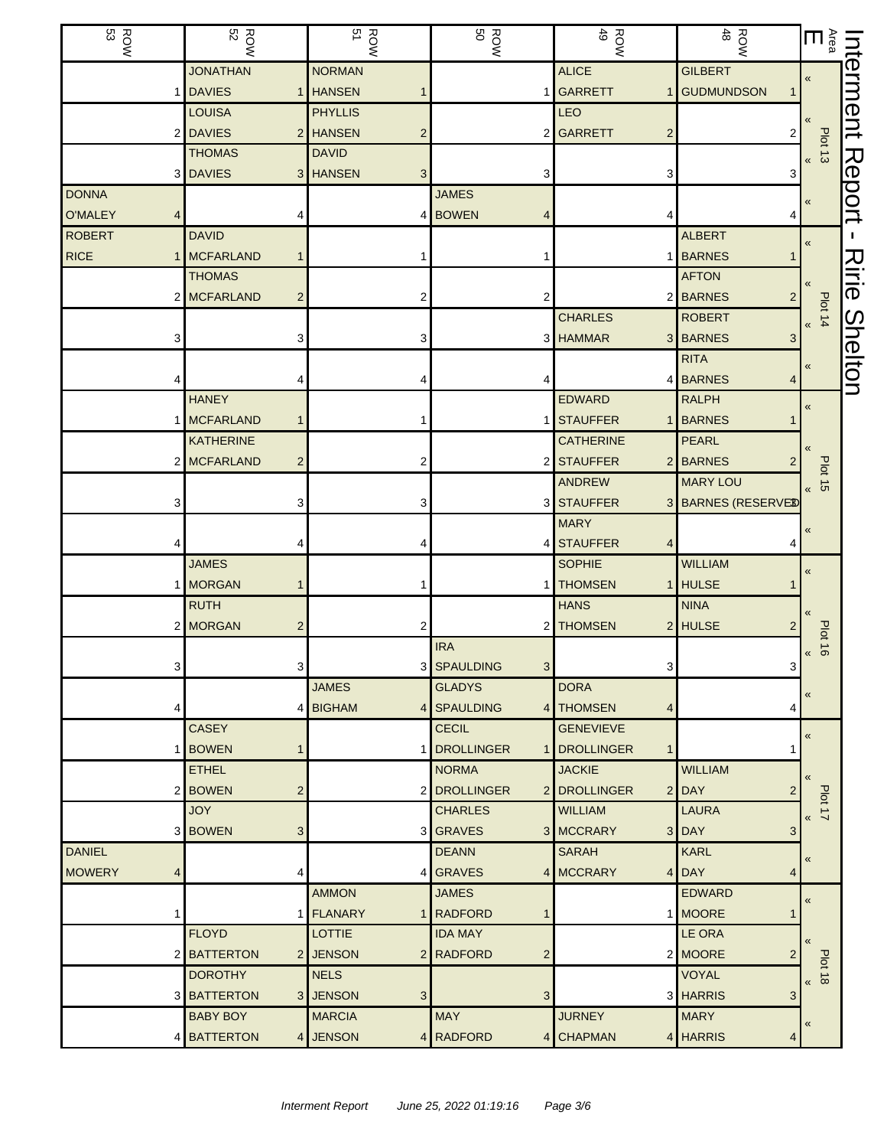| $\frac{ROW}{53}$   | <b>ROW</b><br>52               | <b>ROW</b><br>51           | ROW<br>BOW                    | ROW<br>49                    | ROW<br>48                          | $\sum_{\tilde{a}}$ $\Pi$             | INt            |
|--------------------|--------------------------------|----------------------------|-------------------------------|------------------------------|------------------------------------|--------------------------------------|----------------|
|                    | <b>JONATHAN</b>                | <b>NORMAN</b>              |                               | <b>ALICE</b>                 | <b>GILBERT</b>                     | $\pmb{\ll}$                          | erment         |
|                    | <b>DAVIES</b>                  | 1 HANSEN                   |                               | 1 GARRETT                    | 1 GUDMUNDSON<br>1                  |                                      |                |
|                    | <b>LOUISA</b>                  | <b>PHYLLIS</b>             |                               | LEO                          |                                    |                                      |                |
| $\overline{2}$     | <b>DAVIES</b>                  | 2 HANSEN<br>$\overline{2}$ |                               | 2 GARRETT<br>$\overline{c}$  | 2                                  |                                      |                |
|                    | <b>THOMAS</b>                  | <b>DAVID</b>               |                               |                              |                                    | Plot 13<br>$\overline{\mathbf{K}}$   |                |
| 3                  | <b>DAVIES</b>                  | 3 HANSEN<br>3              | 3                             | 3                            | 3                                  |                                      |                |
| <b>DONNA</b>       |                                |                            | <b>JAMES</b>                  |                              |                                    | «                                    | Report         |
| <b>O'MALEY</b>     |                                |                            | 4 BOWEN                       |                              | 4                                  |                                      |                |
| <b>ROBERT</b>      | <b>DAVID</b>                   |                            |                               |                              | <b>ALBERT</b>                      | $\pmb{\langle} \pmb{\langle}$        |                |
| <b>RICE</b>        | <b>MCFARLAND</b><br>1          |                            |                               |                              | 1 BARNES<br>1                      |                                      |                |
|                    | <b>THOMAS</b>                  |                            |                               |                              | <b>AFTON</b>                       |                                      | Ririe          |
|                    | 2 MCFARLAND<br>$\overline{c}$  | 2                          | 2                             |                              | 2 BARNES<br>2 <sub>1</sub>         |                                      |                |
|                    |                                |                            |                               | <b>CHARLES</b>               | <b>ROBERT</b>                      | Plot 14                              |                |
| З                  | 3                              | 3                          |                               | 3 HAMMAR                     | 3 BARNES<br>3                      |                                      |                |
|                    |                                |                            |                               |                              | <b>RITA</b>                        | «                                    | <b>Shelton</b> |
|                    |                                |                            |                               |                              | 4 BARNES<br>4                      |                                      |                |
|                    | <b>HANEY</b>                   |                            |                               | <b>EDWARD</b>                | <b>RALPH</b>                       | «                                    |                |
|                    | <b>MCFARLAND</b><br>1          |                            |                               | 1 STAUFFER                   | 1 BARNES<br>1                      |                                      |                |
|                    | <b>KATHERINE</b>               |                            |                               | <b>CATHERINE</b>             | <b>PEARL</b>                       |                                      |                |
|                    | 2 MCFARLAND<br>$\overline{c}$  | 2                          |                               | 2 STAUFFER                   | 2 BARNES<br>2                      | Plot                                 |                |
|                    |                                |                            |                               | <b>ANDREW</b>                | <b>MARY LOU</b>                    | $\vec{a}$<br>$\overline{\mathbf{K}}$ |                |
| З                  | 3                              | 3                          |                               | 3 STAUFFER                   | 3 BARNES (RESERVED                 |                                      |                |
|                    |                                |                            |                               | <b>MARY</b>                  |                                    | $\pmb{\ll}$                          |                |
|                    | 4                              |                            |                               | 4 STAUFFER<br>4              | 4                                  |                                      |                |
|                    | <b>JAMES</b>                   |                            |                               | <b>SOPHIE</b>                | <b>WILLIAM</b>                     | «                                    |                |
| 1                  | <b>MORGAN</b><br>1             |                            |                               | <b>THOMSEN</b>               | 1 HULSE<br>1                       |                                      |                |
|                    | <b>RUTH</b>                    |                            |                               | <b>HANS</b>                  | <b>NINA</b>                        |                                      |                |
|                    | 2 MORGAN<br>2                  | 2                          |                               | 2 THOMSEN                    | 2 HULSE<br>2                       | <b>Plot</b>                          |                |
|                    |                                |                            | <b>IRA</b>                    |                              |                                    | $\vec{e}$<br>$\overline{\mathbf{K}}$ |                |
| 3                  | 3                              |                            | 3 SPAULDING<br>3 <sup>1</sup> | 3                            | 3                                  |                                      |                |
|                    |                                | <b>JAMES</b>               | <b>GLADYS</b>                 | <b>DORA</b>                  |                                    | «                                    |                |
| 4                  |                                | 4 BIGHAM<br>4 <sup>1</sup> | SPAULDING                     | 4 THOMSEN<br>4               | 4                                  |                                      |                |
|                    | <b>CASEY</b>                   |                            | <b>CECIL</b>                  | <b>GENEVIEVE</b>             |                                    | «                                    |                |
| 1                  | <b>BOWEN</b><br>1              | 1                          | <b>DROLLINGER</b>             | 1 DROLLINGER<br>$\mathbf{1}$ | 1                                  |                                      |                |
|                    | <b>ETHEL</b>                   |                            | <b>NORMA</b>                  | <b>JACKIE</b>                | <b>WILLIAM</b>                     |                                      |                |
| 2                  | <b>BOWEN</b><br>$\overline{c}$ |                            | 2 DROLLINGER                  | 2 DROLLINGER                 | $2$ DAY<br>2                       | Plot 17                              |                |
|                    | <b>JOY</b>                     |                            | <b>CHARLES</b>                | <b>WILLIAM</b>               | <b>LAURA</b>                       | $\overline{\mathbf{K}}$              |                |
|                    | 3 BOWEN<br>3                   |                            | 3 GRAVES                      | 3 MCCRARY                    | 3 DAY<br>$\ensuremath{\mathsf{3}}$ |                                      |                |
| <b>DANIEL</b>      |                                |                            | <b>DEANN</b>                  | <b>SARAH</b>                 | <b>KARL</b>                        | «                                    |                |
| <b>MOWERY</b><br>4 | 4                              | 4                          | <b>GRAVES</b>                 | 4 MCCRARY                    | $4$ DAY<br>4                       |                                      |                |
|                    |                                | <b>AMMON</b>               | <b>JAMES</b>                  |                              | <b>EDWARD</b>                      | $\pmb{\ll}$                          |                |
|                    |                                | 1 FLANARY                  | 1 RADFORD                     |                              | 1 MOORE<br>1                       |                                      |                |
|                    | <b>FLOYD</b>                   | <b>LOTTIE</b>              | <b>IDA MAY</b>                |                              | LE ORA                             | $\ll$                                |                |
| 2                  | <b>BATTERTON</b>               | 2 JENSON                   | $\overline{c}$<br>2 RADFORD   |                              | 2 MOORE<br>2                       | Plot                                 |                |
|                    | <b>DOROTHY</b>                 | <b>NELS</b>                |                               |                              | <b>VOYAL</b>                       | $\vec{a}$<br>$\overline{\mathbf{K}}$ |                |
| 3                  | <b>BATTERTON</b>               | 3 JENSON<br>3              | 3                             |                              | 3 HARRIS<br>3                      |                                      |                |
|                    | <b>BABY BOY</b>                | <b>MARCIA</b>              | <b>MAY</b>                    | <b>JURNEY</b>                | <b>MARY</b>                        | «                                    |                |
| 4                  | <b>BATTERTON</b>               | 4 JENSON                   | 4 RADFORD                     | 4 CHAPMAN                    | 4 HARRIS<br>4                      |                                      |                |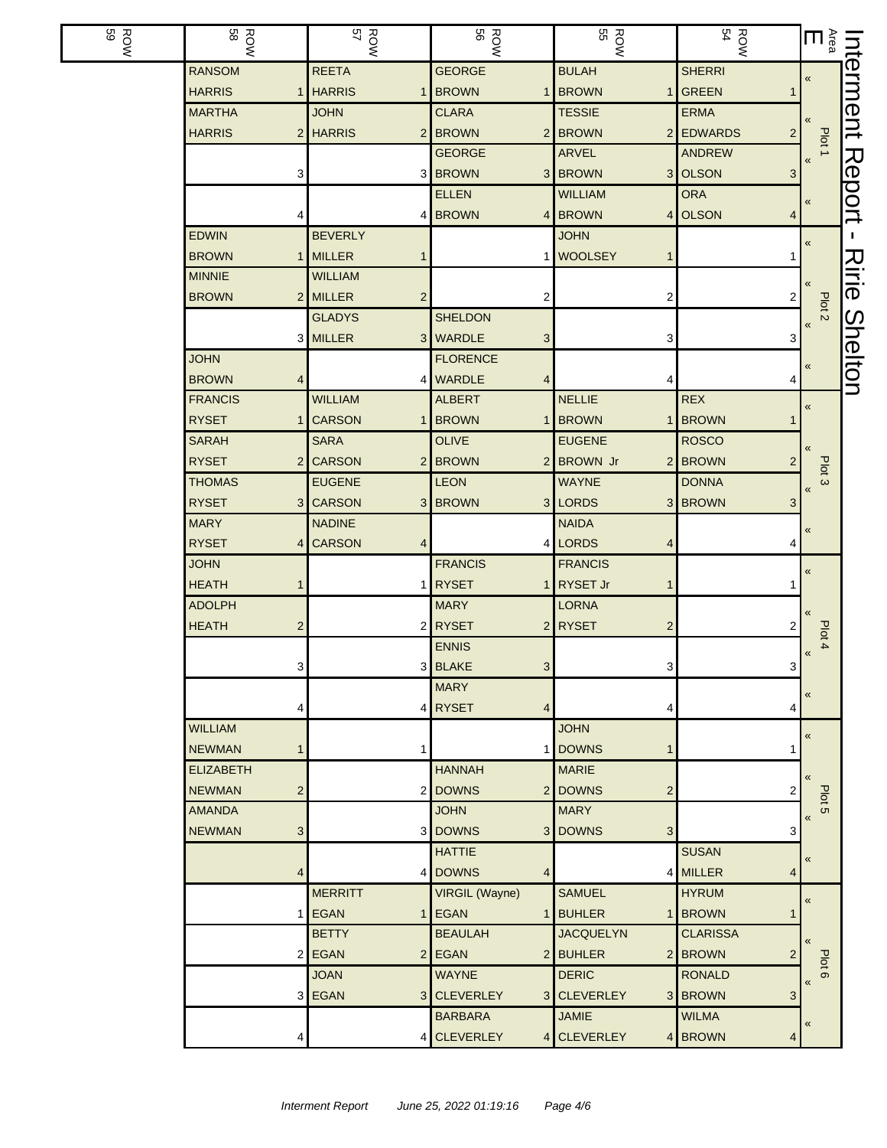| <b>ROW</b><br>59 | <b>ROW</b>                               | ROW<br>57          | <b>ROW</b><br>56 | <b>ROW</b><br>55                   | $\frac{ROW}{54}$          | $\begin{array}{cc} \text{Interment} \ \frac{1}{\sqrt{1+\log n}} & \text{and} \ \frac{1}{\sqrt{1+\log n}} & \text{and} \ \frac{1}{\sqrt{1+\log n}} & \text{and} \ \frac{1}{\sqrt{1+\log n}} & \text{and} \ \frac{1}{\sqrt{1+\log n}} & \text{and} \ \frac{1}{\sqrt{1+\log n}} & \text{and} \ \frac{1}{\sqrt{1+\log n}} & \text{and} \ \frac{1}{\sqrt{1+\log n}} & \text{and} \ \frac{1}{\sqrt{1+\log n}} & \text{and} \ \frac{1}{\sqrt{1+\log n}} & \text{and} \ \frac{1}{$ |                     |
|------------------|------------------------------------------|--------------------|------------------|------------------------------------|---------------------------|----------------------------------------------------------------------------------------------------------------------------------------------------------------------------------------------------------------------------------------------------------------------------------------------------------------------------------------------------------------------------------------------------------------------------------------------------------------------------|---------------------|
|                  | <b>RANSOM</b>                            | <b>REETA</b>       | <b>GEORGE</b>    | <b>BULAH</b>                       | <b>SHERRI</b>             |                                                                                                                                                                                                                                                                                                                                                                                                                                                                            |                     |
|                  | <b>HARRIS</b>                            | <b>HARRIS</b><br>1 | <b>BROWN</b>     | <b>BROWN</b><br>1                  | <b>GREEN</b>              |                                                                                                                                                                                                                                                                                                                                                                                                                                                                            |                     |
|                  | <b>MARTHA</b>                            | <b>JOHN</b>        | <b>CLARA</b>     | <b>TESSIE</b>                      | <b>ERMA</b>               |                                                                                                                                                                                                                                                                                                                                                                                                                                                                            |                     |
|                  | <b>HARRIS</b>                            | 2 HARRIS           | 2 BROWN          | 2 BROWN                            | 2 EDWARDS<br>$\mathbf{2}$ | Plot <sub>1</sub>                                                                                                                                                                                                                                                                                                                                                                                                                                                          |                     |
|                  |                                          |                    | <b>GEORGE</b>    | ARVEL                              | <b>ANDREW</b>             |                                                                                                                                                                                                                                                                                                                                                                                                                                                                            |                     |
|                  | 3                                        |                    | 3 BROWN          | 3 BROWN                            | 3 OLSON<br>3              |                                                                                                                                                                                                                                                                                                                                                                                                                                                                            |                     |
|                  |                                          |                    | <b>ELLEN</b>     | <b>WILLIAM</b>                     | <b>ORA</b>                | $\pmb{\ll}$                                                                                                                                                                                                                                                                                                                                                                                                                                                                |                     |
|                  |                                          |                    | 4 BROWN          | 4 BROWN<br>4                       | <b>OLSON</b><br>4         |                                                                                                                                                                                                                                                                                                                                                                                                                                                                            | Report              |
|                  | <b>EDWIN</b>                             | <b>BEVERLY</b>     |                  | <b>JOHN</b>                        |                           | $\pmb{\ll}$                                                                                                                                                                                                                                                                                                                                                                                                                                                                | T.                  |
|                  | <b>BROWN</b><br>1                        | <b>MILLER</b>      |                  | <b>WOOLSEY</b><br>1                | 1                         |                                                                                                                                                                                                                                                                                                                                                                                                                                                                            |                     |
|                  | <b>MINNIE</b>                            | <b>WILLIAM</b>     |                  |                                    |                           |                                                                                                                                                                                                                                                                                                                                                                                                                                                                            | <b>Nirie</b>        |
|                  | <b>BROWN</b>                             | 2 MILLER<br>2      | 2                | 2                                  | 2                         | Plot <sub>2</sub>                                                                                                                                                                                                                                                                                                                                                                                                                                                          |                     |
|                  |                                          | <b>GLADYS</b>      | <b>SHELDON</b>   |                                    |                           | $\pmb{\langle} \pmb{\langle}$                                                                                                                                                                                                                                                                                                                                                                                                                                              | $\overline{\Omega}$ |
|                  |                                          | 3 MILLER           | 3 WARDLE<br>3    | 3                                  | 3                         |                                                                                                                                                                                                                                                                                                                                                                                                                                                                            |                     |
|                  | <b>JOHN</b>                              |                    | <b>FLORENCE</b>  |                                    |                           | $\pmb{\langle} \pmb{\langle}$                                                                                                                                                                                                                                                                                                                                                                                                                                              | helton              |
|                  | <b>BROWN</b>                             |                    | 4 WARDLE         | 4                                  | 4                         |                                                                                                                                                                                                                                                                                                                                                                                                                                                                            |                     |
|                  | <b>FRANCIS</b>                           | <b>WILLIAM</b>     | <b>ALBERT</b>    | <b>NELLIE</b>                      | <b>REX</b>                | $\pmb{\ll}$                                                                                                                                                                                                                                                                                                                                                                                                                                                                |                     |
|                  | <b>RYSET</b>                             | <b>CARSON</b><br>1 | <b>BROWN</b>     | <b>BROWN</b><br>1                  | <b>BROWN</b><br>1         |                                                                                                                                                                                                                                                                                                                                                                                                                                                                            |                     |
|                  | <b>SARAH</b>                             | <b>SARA</b>        | <b>OLIVE</b>     | <b>EUGENE</b>                      | <b>ROSCO</b>              |                                                                                                                                                                                                                                                                                                                                                                                                                                                                            |                     |
|                  | <b>RYSET</b><br>$\overline{2}$           | <b>CARSON</b>      | 2 BROWN<br>2     | <b>BROWN Jr</b><br>2 <sub>l</sub>  | <b>BROWN</b><br>2         | Plot <sub>3</sub>                                                                                                                                                                                                                                                                                                                                                                                                                                                          |                     |
|                  | <b>THOMAS</b>                            | <b>EUGENE</b>      | <b>LEON</b>      | <b>WAYNE</b>                       | <b>DONNA</b>              | $\overline{\mathbf{K}}$                                                                                                                                                                                                                                                                                                                                                                                                                                                    |                     |
|                  | <b>RYSET</b>                             | 3 CARSON           | 3 BROWN          | 3 LORDS                            | 3 BROWN<br>3              |                                                                                                                                                                                                                                                                                                                                                                                                                                                                            |                     |
|                  | <b>MARY</b>                              | <b>NADINE</b>      |                  | <b>NAIDA</b>                       |                           | $\pmb{\langle} \pmb{\langle}$                                                                                                                                                                                                                                                                                                                                                                                                                                              |                     |
|                  | <b>RYSET</b><br>4                        | <b>CARSON</b><br>4 |                  | 4 LORDS<br>4                       | 4                         |                                                                                                                                                                                                                                                                                                                                                                                                                                                                            |                     |
|                  | <b>JOHN</b>                              |                    | <b>FRANCIS</b>   | <b>FRANCIS</b>                     |                           | $\pmb{\ll}$                                                                                                                                                                                                                                                                                                                                                                                                                                                                |                     |
|                  | <b>HEATH</b>                             |                    | 1 RYSET          | RYSET Jr<br>1                      |                           |                                                                                                                                                                                                                                                                                                                                                                                                                                                                            |                     |
|                  | <b>ADOLPH</b>                            |                    | <b>MARY</b>      | <b>LORNA</b>                       |                           |                                                                                                                                                                                                                                                                                                                                                                                                                                                                            |                     |
|                  | <b>HEATH</b><br>2                        |                    | 2 RYSET          | 2 RYSET<br>2                       | 2                         | Plot 4                                                                                                                                                                                                                                                                                                                                                                                                                                                                     |                     |
|                  |                                          |                    | <b>ENNIS</b>     |                                    |                           | $\pmb{\langle} \pmb{\langle}$                                                                                                                                                                                                                                                                                                                                                                                                                                              |                     |
|                  | 3                                        |                    | 3 BLAKE<br>3     | 3                                  | $\mathbf{3}$              |                                                                                                                                                                                                                                                                                                                                                                                                                                                                            |                     |
|                  |                                          |                    | <b>MARY</b>      |                                    |                           | «                                                                                                                                                                                                                                                                                                                                                                                                                                                                          |                     |
|                  | 4                                        |                    | 4 RYSET<br>4     | 4                                  | 4                         |                                                                                                                                                                                                                                                                                                                                                                                                                                                                            |                     |
|                  | <b>WILLIAM</b>                           |                    |                  | <b>JOHN</b>                        |                           | $\pmb{\ll}$                                                                                                                                                                                                                                                                                                                                                                                                                                                                |                     |
|                  | <b>NEWMAN</b><br>1                       | 1                  |                  | <b>DOWNS</b><br>1                  | 1                         |                                                                                                                                                                                                                                                                                                                                                                                                                                                                            |                     |
|                  | <b>ELIZABETH</b>                         |                    | <b>HANNAH</b>    | <b>MARIE</b>                       |                           |                                                                                                                                                                                                                                                                                                                                                                                                                                                                            |                     |
|                  | $\overline{\mathbf{c}}$<br><b>NEWMAN</b> |                    | 2 DOWNS          | 2 DOWNS<br>$\overline{\mathbf{c}}$ | 2                         | Plot <sub>5</sub>                                                                                                                                                                                                                                                                                                                                                                                                                                                          |                     |
|                  | <b>AMANDA</b>                            |                    | <b>JOHN</b>      | <b>MARY</b>                        |                           | $\overline{\mathbf{K}}$                                                                                                                                                                                                                                                                                                                                                                                                                                                    |                     |
|                  | <b>NEWMAN</b><br>3                       |                    | 3 DOWNS<br>3     | <b>DOWNS</b><br>3                  | 3                         |                                                                                                                                                                                                                                                                                                                                                                                                                                                                            |                     |
|                  |                                          |                    | <b>HATTIE</b>    |                                    | <b>SUSAN</b>              | «                                                                                                                                                                                                                                                                                                                                                                                                                                                                          |                     |
|                  | 4                                        |                    | 4 DOWNS<br>4     |                                    | 4 MILLER<br>4             |                                                                                                                                                                                                                                                                                                                                                                                                                                                                            |                     |
|                  |                                          | <b>MERRITT</b>     | VIRGIL (Wayne)   | <b>SAMUEL</b>                      | <b>HYRUM</b>              | $\pmb{\kappa}$                                                                                                                                                                                                                                                                                                                                                                                                                                                             |                     |
|                  | 1                                        | <b>EGAN</b>        | 1 EGAN<br>1      | <b>BUHLER</b><br>1 <sub>1</sub>    | <b>BROWN</b><br>1         |                                                                                                                                                                                                                                                                                                                                                                                                                                                                            |                     |
|                  |                                          | <b>BETTY</b>       | <b>BEAULAH</b>   | <b>JACQUELYN</b>                   | <b>CLARISSA</b>           | $\overline{\mathbf{K}}$                                                                                                                                                                                                                                                                                                                                                                                                                                                    |                     |
|                  |                                          | 2 EGAN             | 2 EGAN           | 2 BUHLER                           | 2 BROWN<br>2              | Plot 6                                                                                                                                                                                                                                                                                                                                                                                                                                                                     |                     |
|                  |                                          | <b>JOAN</b>        | <b>WAYNE</b>     | <b>DERIC</b>                       | <b>RONALD</b>             | $\overline{\mathbf{K}}$                                                                                                                                                                                                                                                                                                                                                                                                                                                    |                     |
|                  | 3                                        | <b>EGAN</b>        | 3 CLEVERLEY      | 3 CLEVERLEY                        | 3 BROWN<br>3              |                                                                                                                                                                                                                                                                                                                                                                                                                                                                            |                     |
|                  |                                          |                    | <b>BARBARA</b>   | <b>JAMIE</b>                       | <b>WILMA</b>              | «                                                                                                                                                                                                                                                                                                                                                                                                                                                                          |                     |
|                  | 4                                        | $\vert 4 \vert$    | <b>CLEVERLEY</b> | 4 CLEVERLEY                        | 4 BROWN<br>4              |                                                                                                                                                                                                                                                                                                                                                                                                                                                                            |                     |

ı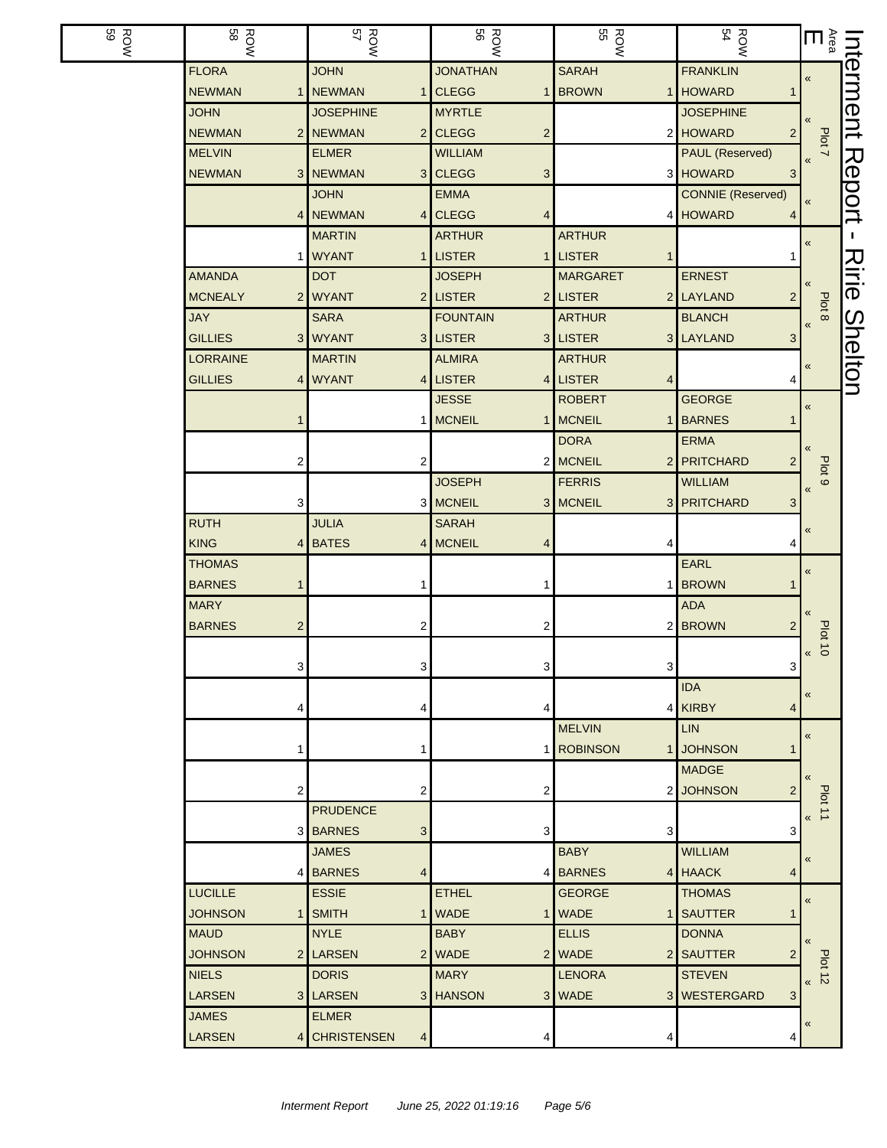| <b>ROW</b><br>59 | <b>ROW</b>                      | ROW<br>57                  | <b>ROW</b>                           | ROW<br>55                 | <b>ROW</b><br>54                 | $\overline{\mathsf{m}}$       | nterment |
|------------------|---------------------------------|----------------------------|--------------------------------------|---------------------------|----------------------------------|-------------------------------|----------|
|                  | <b>FLORA</b>                    | <b>JOHN</b>                | <b>JONATHAN</b>                      | <b>SARAH</b>              | <b>FRANKLIN</b>                  | «                             |          |
|                  | <b>NEWMAN</b>                   | 1 NEWMAN<br>$\mathbf{1}$   | <b>CLEGG</b><br>1                    | <b>BROWN</b><br>1         | <b>HOWARD</b>                    |                               |          |
|                  | <b>JOHN</b>                     | <b>JOSEPHINE</b>           | <b>MYRTLE</b>                        |                           | <b>JOSEPHINE</b>                 |                               |          |
|                  | <b>NEWMAN</b>                   | 2 NEWMAN                   | $2$ CLEGG<br>$\overline{\mathbf{c}}$ |                           | 2 HOWARD<br>2                    | Plot 7                        |          |
|                  | <b>MELVIN</b>                   | <b>ELMER</b>               | <b>WILLIAM</b>                       |                           | PAUL (Reserved)                  |                               |          |
|                  | <b>NEWMAN</b>                   | 3 NEWMAN                   | 3 CLEGG<br>3                         |                           | 3 HOWARD<br>3                    |                               | Report   |
|                  |                                 | <b>JOHN</b>                | <b>EMMA</b>                          |                           | <b>CONNIE</b> (Reserved)         | $\pmb{\langle} \pmb{\langle}$ |          |
|                  |                                 | 4 NEWMAN                   | $4$ CLEGG<br>4                       | 4                         | <b>HOWARD</b><br>4               |                               |          |
|                  |                                 | <b>MARTIN</b>              | <b>ARTHUR</b>                        | <b>ARTHUR</b>             |                                  | «                             | H.       |
|                  |                                 | 1 WYANT                    | 1 LISTER<br>1 <sup>1</sup>           | <b>LISTER</b><br>1        |                                  |                               | スミッ      |
|                  | <b>AMANDA</b>                   | <b>DOT</b>                 | <b>JOSEPH</b>                        | <b>MARGARET</b>           | <b>ERNEST</b>                    |                               |          |
|                  | <b>MCNEALY</b>                  | 2 WYANT                    | 2 LISTER                             | 2 LISTER                  | 2 LAYLAND<br>$\overline{2}$      | Plot 8                        |          |
|                  | <b>JAY</b>                      | <b>SARA</b>                | <b>FOUNTAIN</b>                      | <b>ARTHUR</b>             | <b>BLANCH</b>                    | $\pmb{\langle} \pmb{\langle}$ | Shelton  |
|                  | <b>GILLIES</b>                  | 3 WYANT                    | 3 LISTER                             | 3 LISTER                  | 3 LAYLAND<br>3                   |                               |          |
|                  | <b>LORRAINE</b>                 | <b>MARTIN</b>              | <b>ALMIRA</b>                        | <b>ARTHUR</b>             |                                  | «                             |          |
|                  | <b>GILLIES</b>                  | 4 WYANT                    | 4 LISTER                             | 4 LISTER<br>4             | 4<br><b>GEORGE</b>               |                               |          |
|                  |                                 |                            | <b>JESSE</b>                         | <b>ROBERT</b>             |                                  | $\pmb{\kappa}$                |          |
|                  | 1                               |                            | 1 MCNEIL                             | 1 MCNEIL<br>1             | <b>BARNES</b>                    |                               |          |
|                  |                                 |                            |                                      | <b>DORA</b>               | <b>ERMA</b>                      |                               |          |
|                  | 2                               | 2                          |                                      | 2 MCNEIL<br>2             | <b>PRITCHARD</b><br>2            | Plot <sub>9</sub>             |          |
|                  |                                 |                            | <b>JOSEPH</b><br>3 MCNEIL            | <b>FERRIS</b><br>3 MCNEIL | <b>WILLIAM</b><br>3 PRITCHARD    | $\pmb{\mathcal{R}}$           |          |
|                  | 3<br><b>RUTH</b>                | <b>JULIA</b>               | <b>SARAH</b>                         |                           | 3                                |                               |          |
|                  | <b>KING</b>                     | 4 BATES                    | 4 MCNEIL<br>4                        |                           | 4                                | «                             |          |
|                  | <b>THOMAS</b>                   |                            |                                      |                           | EARL                             |                               |          |
|                  | <b>BARNES</b><br>1              | -1                         | 1                                    |                           | <b>BROWN</b>                     | $\pmb{\kappa}$                |          |
|                  | <b>MARY</b>                     |                            |                                      |                           | <b>ADA</b>                       |                               |          |
|                  | <b>BARNES</b><br>$\overline{2}$ | 2                          | 2                                    | 2                         | <b>BROWN</b><br>2                |                               |          |
|                  |                                 |                            |                                      |                           |                                  | <b>Plot 10</b>                |          |
|                  | 3                               | 3 <sup>2</sup>             | $3\vert$                             | $\mathbf{3}$              | $\mathbf{3}$                     | $\pmb{\mathcal{R}}$           |          |
|                  |                                 |                            |                                      |                           | <b>IDA</b>                       |                               |          |
|                  | 4                               | 4                          | 4                                    | 4                         | <b>KIRBY</b><br>4                | $\pmb{\kappa}$                |          |
|                  |                                 |                            |                                      | <b>MELVIN</b>             | <b>LIN</b>                       |                               |          |
|                  | 1                               | -1                         |                                      | 1 ROBINSON<br>1           | <b>JOHNSON</b><br>1              | $\pmb{\mathcal{R}}$           |          |
|                  |                                 |                            |                                      |                           | <b>MADGE</b>                     | $\pmb{\langle} \pmb{\langle}$ |          |
|                  | 2                               | 2                          | 2                                    | $\overline{2}$            | <b>JOHNSON</b><br>$\overline{c}$ |                               |          |
|                  |                                 | <b>PRUDENCE</b>            |                                      |                           |                                  | Plot 11<br>«                  |          |
|                  |                                 | 3 BARNES<br>3              | 3                                    | 3                         | 3                                |                               |          |
|                  |                                 | <b>JAMES</b>               |                                      | <b>BABY</b>               | <b>WILLIAM</b>                   | «                             |          |
|                  |                                 | 4 BARNES<br>$\overline{4}$ |                                      | 4 BARNES                  | 4 HAACK<br>4                     |                               |          |
|                  | <b>LUCILLE</b>                  | <b>ESSIE</b>               | <b>ETHEL</b>                         | <b>GEORGE</b>             | <b>THOMAS</b>                    | $\pmb{\ll}$                   |          |
|                  | <b>JOHNSON</b>                  | 1 SMITH<br>1               | <b>WADE</b>                          | 1 WADE<br>1 <sup>1</sup>  | <b>SAUTTER</b>                   |                               |          |
|                  | <b>MAUD</b>                     | <b>NYLE</b>                | <b>BABY</b>                          | <b>ELLIS</b>              | <b>DONNA</b>                     | $\pmb{\langle} \pmb{\langle}$ |          |
|                  | <b>JOHNSON</b>                  | 2 LARSEN                   | 2 WADE                               | 2 WADE                    | 2 SAUTTER<br>2                   |                               |          |
|                  | <b>NIELS</b>                    | <b>DORIS</b>               | <b>MARY</b>                          | <b>LENORA</b>             | <b>STEVEN</b>                    | $b$ ot 12                     |          |
|                  | <b>LARSEN</b>                   | 3 LARSEN                   | 3 HANSON                             | 3 WADE<br>3 <sup>1</sup>  | <b>WESTERGARD</b><br>3           |                               |          |
|                  | <b>JAMES</b>                    | <b>ELMER</b>               |                                      |                           |                                  | «                             |          |
|                  | <b>LARSEN</b>                   | 4 CHRISTENSEN<br>4         | 4                                    | 4                         | 4                                |                               |          |
|                  |                                 |                            |                                      |                           |                                  |                               |          |

 $\overline{\phantom{a}}$